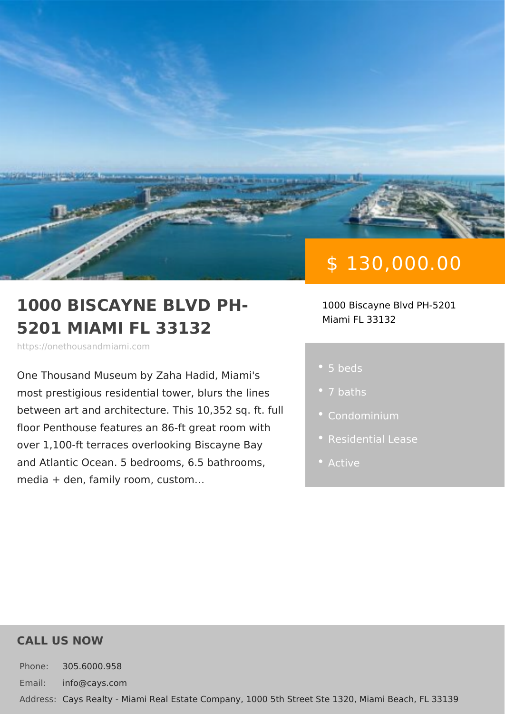# \$ 130,000.00

#### 1000 BISCAYNE BLVD PH- 1000 Biscayne Blvd PH-5201 5201 MIAMI FL 33132 Miami FL 33132

https://onethousandmiami.com

One Thousand Museum by Zaha Hadid, N most prestigious residential tower, blur between art and architecture. This 10,3 floor Penthouse features an 86-ft great over 1,100-ft terraces overlooking Bisca and Atlantic Ocean. 5 bedr[ooms](https://onethousandmiami.com/es_status/active/), 6.5 ba media + den, family room, custom &

- 5 beds
- 
- 
- 
- Active

#### CALL US NOW

Phone: 305.6000.958 Email: info@cays.com Addres Cays Realty - Miami Real Estate Company, 1000 5th Street Ste 1320, Mia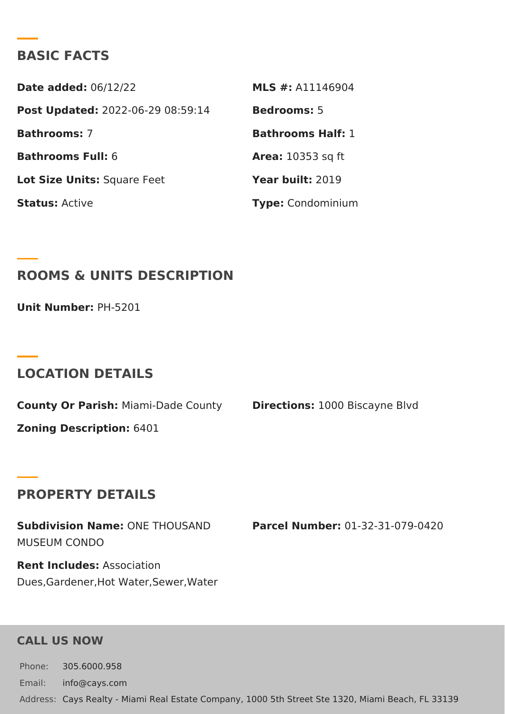### BASIC FACTS

Date added: 6/12/22 MLS #: A11146904 Post Update @022-06-29 08:59:14Bedrooms5 Bathrooms7 Bathrooms Half: Bathrooms Fu6I: Area: 10353 sq ft Lot Size Unifsquare Feet Year buil 2:019 StatusActive Type Condominium

ROOMS & UNITS DESCRIPTION

Unit Numbe<sub>PH-5201</sub>

#### LOCATION DETAILS

County Or PariMhami-Dade CountDirections1:000 Biscayne Blvd Zoning Descripti6401

#### PROPERTY DETAILS

Subdivision NamOeNE THOUSAND Parcel NumbeOr1-32-31-079-0420 MUSEUM CONDO

Rent Includesssociation Dues,Gardener,Hot Water,Sewer,Water

#### CALL US NOW

Phone: 305.6000.958 Email: info@cays.com Addres Cays Realty - Miami Real Estate Company, 1000 5th Street Ste 1320, Mia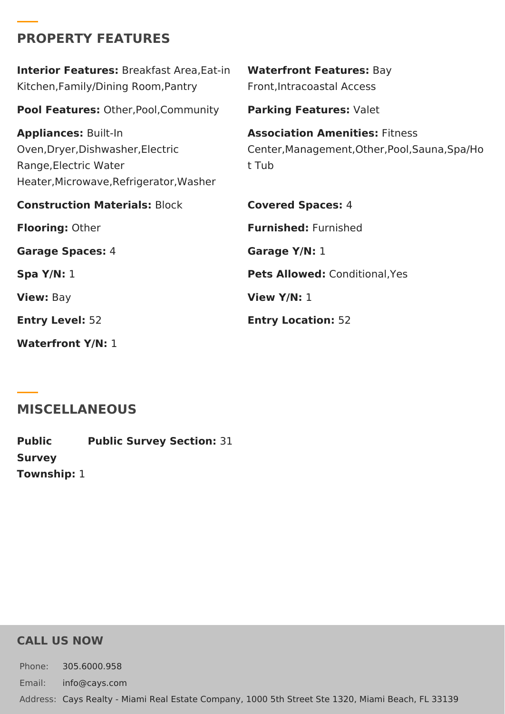## **PROPERTY FEATURES**

| <b>Interior Features: Breakfast Area, Eat-in</b><br>Kitchen, Family/Dining Room, Pantry                                              | <b>Waterfront Features: Bay</b><br>Front, Intracoastal Access                                    |
|--------------------------------------------------------------------------------------------------------------------------------------|--------------------------------------------------------------------------------------------------|
| <b>Pool Features: Other, Pool, Community</b>                                                                                         | Parking Features: Valet                                                                          |
| <b>Appliances: Built-In</b><br>Oven, Dryer, Dishwasher, Electric<br>Range, Electric Water<br>Heater, Microwave, Refrigerator, Washer | <b>Association Amenities: Fitness</b><br>Center, Management, Other, Pool, Sauna, Spa/Ho<br>t Tub |
| <b>Construction Materials: Block</b>                                                                                                 | <b>Covered Spaces: 4</b>                                                                         |
| <b>Flooring: Other</b>                                                                                                               | <b>Furnished: Furnished</b>                                                                      |
| <b>Garage Spaces: 4</b>                                                                                                              | Garage Y/N: 1                                                                                    |
| Spa $Y/N: 1$                                                                                                                         | <b>Pets Allowed: Conditional, Yes</b>                                                            |
| <b>View: Bay</b>                                                                                                                     | View $Y/N: 1$                                                                                    |
| <b>Entry Level: 52</b>                                                                                                               | <b>Entry Location: 52</b>                                                                        |
| <b>Waterfront Y/N: 1</b>                                                                                                             |                                                                                                  |

## **MISCELLANEOUS**

**Public Survey Township:** 1 **Public Survey Section:** 31

### **CALL US NOW**

Phone: 305.6000.958 Email: info@cays.com Address: Cays Realty - Miami Real Estate Company, 1000 5th Street Ste 1320, Miami Beach, FL 33139